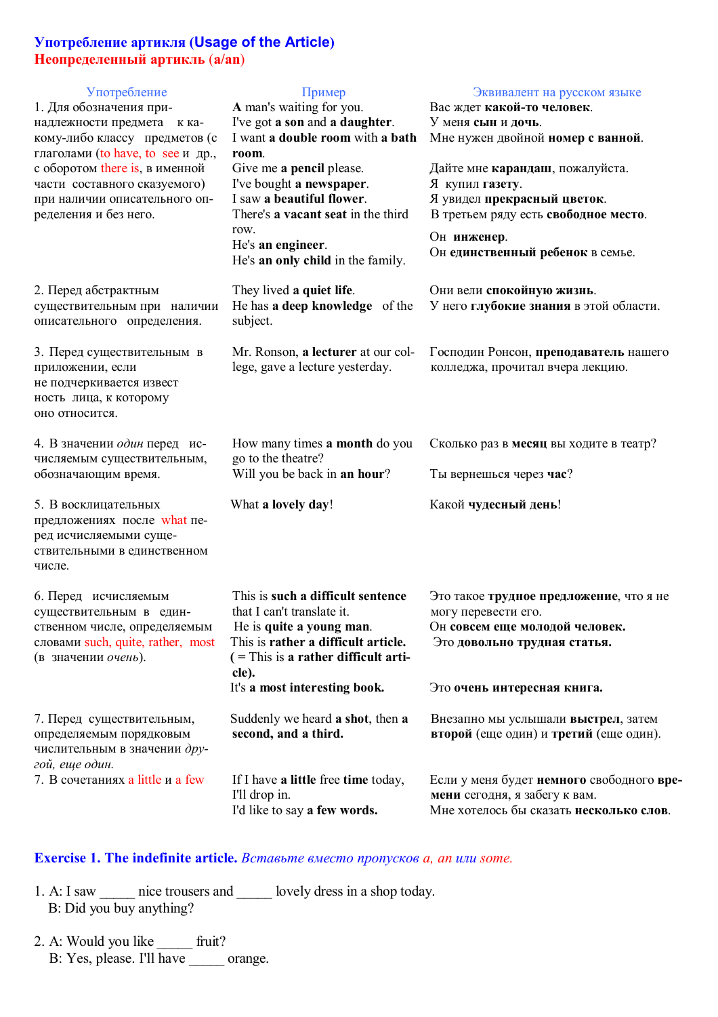## **Употребление артикля (Usage of the Article) Неопределенный артикль** (**a/an**)

| Употребление<br>1. Для обозначения при-<br>надлежности предмета к ка-<br>кому-либо классу предметов (с<br>глаголами (to have, to see и др.,<br>с оборотом there is, в именной<br>части составного сказуемого)<br>при наличии описательного оп-<br>ределения и без него. | Пример<br>A man's waiting for you.<br>I've got a son and a daughter.<br>I want a double room with a bath<br>room.<br>Give me a pencil please.<br>I've bought a newspaper.<br>I saw a beautiful flower.<br>There's a vacant seat in the third<br>row.<br>He's an engineer.<br>He's an only child in the family. | Эквивалент на русском языке<br>Вас ждет какой-то человек.<br>У меня сын и дочь.<br>Мне нужен двойной номер с ванной.<br>Дайте мне карандаш, пожалуйста.<br>Я купил газету.<br>Я увидел прекрасный цветок.<br>В третьем ряду есть свободное место.<br>Он инженер.<br>Он единственный ребенок в семье. |
|-------------------------------------------------------------------------------------------------------------------------------------------------------------------------------------------------------------------------------------------------------------------------|----------------------------------------------------------------------------------------------------------------------------------------------------------------------------------------------------------------------------------------------------------------------------------------------------------------|------------------------------------------------------------------------------------------------------------------------------------------------------------------------------------------------------------------------------------------------------------------------------------------------------|
| 2. Перед абстрактным<br>существительным при наличии<br>описательного определения.                                                                                                                                                                                       | They lived a quiet life.<br>He has a deep knowledge of the<br>subject.                                                                                                                                                                                                                                         | Они вели спокойную жизнь.<br>У него глубокие знания в этой области.                                                                                                                                                                                                                                  |
| 3. Перед существительным в<br>приложении, если<br>не подчеркивается извест<br>ность лица, к которому<br>оно относится.                                                                                                                                                  | Mr. Ronson, a lecturer at our col-<br>lege, gave a lecture yesterday.                                                                                                                                                                                                                                          | Господин Ронсон, преподаватель нашего<br>колледжа, прочитал вчера лекцию.                                                                                                                                                                                                                            |
| 4. В значении один перед ис-<br>числяемым существительным,<br>обозначающим время.                                                                                                                                                                                       | How many times a month do you<br>go to the theatre?<br>Will you be back in an hour?                                                                                                                                                                                                                            | Сколько раз в месяц вы ходите в театр?<br>Ты вернешься через час?                                                                                                                                                                                                                                    |
| 5. В восклицательных<br>предложениях после what пе-<br>ред исчисляемыми суще-<br>ствительными в единственном<br>числе.                                                                                                                                                  | What a lovely day!                                                                                                                                                                                                                                                                                             | Какой чудесный день!                                                                                                                                                                                                                                                                                 |
| 6. Перед исчисляемым<br>существительным в един-<br>ственном числе, определяемым<br>словами such, quite, rather, most<br>(в значении очень).                                                                                                                             | This is such a difficult sentence<br>that I can't translate it.<br>He is quite a young man.<br>This is rather a difficult article.<br>$($ = This is a rather difficult arti-<br>cle).                                                                                                                          | Это такое трудное предложение, что я не<br>могу перевести его.<br>Он совсем еще молодой человек.<br>Это довольно трудная статья.                                                                                                                                                                     |
|                                                                                                                                                                                                                                                                         | It's a most interesting book.                                                                                                                                                                                                                                                                                  | Это очень интересная книга.                                                                                                                                                                                                                                                                          |
| 7. Перед существительным,<br>определяемым порядковым<br>числительным в значении дру-<br>гой, еще один.                                                                                                                                                                  | Suddenly we heard a shot, then a<br>second, and a third.                                                                                                                                                                                                                                                       | Внезапно мы услышали выстрел, затем<br>второй (еще один) и третий (еще один).                                                                                                                                                                                                                        |
| 7. В сочетаниях a little и а few                                                                                                                                                                                                                                        | If I have a little free time today,<br>I'll drop in.<br>I'd like to say a few words.                                                                                                                                                                                                                           | Если у меня будет немного свободного вре-<br>мени сегодня, я забегу к вам.<br>Мне хотелось бы сказать несколько слов.                                                                                                                                                                                |

## **Exercise 1. The indefinite article.** *Вставьте вместо пропусков a, an или some.*

1. A: I saw *nice trousers and* **lovely dress in a shop today.** B: Did you buy anything?

2. A: Would you like *\_\_\_\_\_* fruit? B: Yes, please. I'll have *\_\_\_\_\_* orange.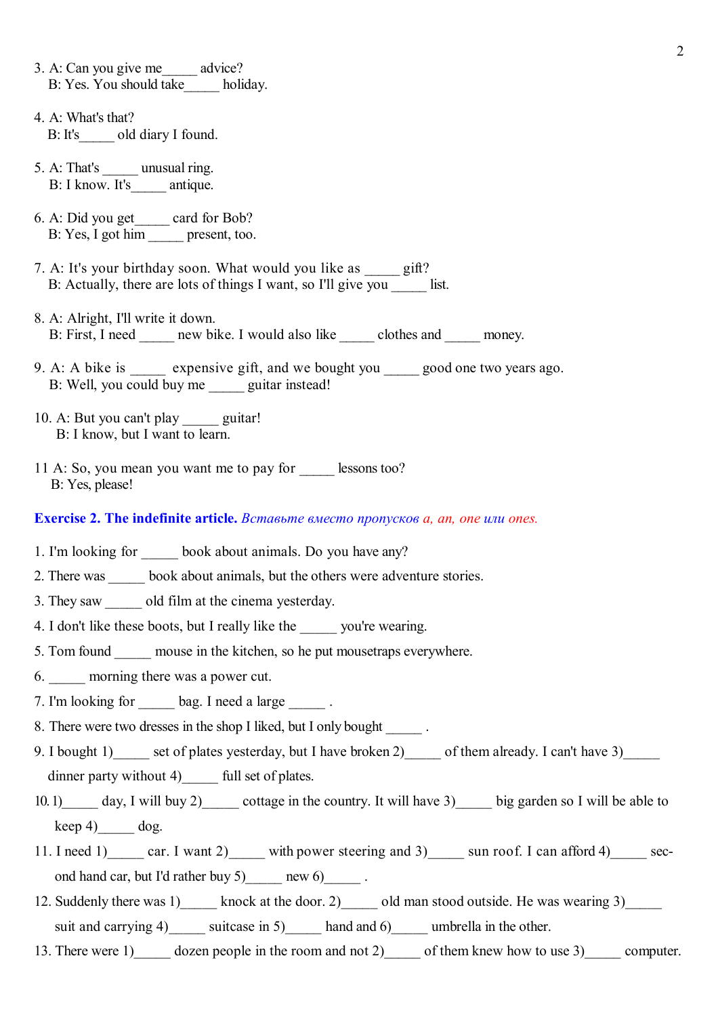3. A: Can you give me*\_\_\_\_\_* advice? B: Yes. You should take*\_\_\_\_\_* holiday. 4. A: What's that? B: It's*\_\_\_\_\_* old diary I found. 5. A: That's *unusual ring.* B: I know. It's antique. 6. A: Did you get*\_\_\_\_\_* card for Bob? B: Yes, I got him *present*, too. 7. A: It's your birthday soon. What would you like as *gift*? B: Actually, there are lots of things I want, so I'll give you list. 8. A: Alright, I'll write it down. B: First, I need *new bike.* I would also like *clothes and money.* 9. A: A bike is *expensive gift, and we bought you good one two years ago.* B: Well, you could buy me **guitar instead!** 10. A: But you can't play guitar! B: I know, but I want to learn. 11 A: So, you mean you want me to pay for *\_\_\_\_\_* lessons too? B: Yes, please! **Exercise 2. The indefinite article.** *Вставьте вместо пропусков a, an, one или ones.* 1. I'm looking for book about animals. Do you have any? 2. There was book about animals, but the others were adventure stories. 3. They saw old film at the cinema yesterday. 4. I don't like these boots, but I really like the \_\_\_\_\_ you're wearing. 5. Tom found mouse in the kitchen, so he put mousetraps everywhere. 6. morning there was a power cut. 7. I'm looking for bag. I need a large  $\qquad \qquad$ . 8. There were two dresses in the shop I liked, but I only bought . 9. I bought 1) set of plates yesterday, but I have broken 2) of them already. I can't have 3) dinner party without 4) full set of plates. 10. 1) day, I will buy 2) cottage in the country. It will have 3) big garden so I will be able to keep 4)  $\log$ . 11. I need 1) car. I want 2) with power steering and 3) sun roof. I can afford 4) second hand car, but I'd rather buy 5)  $\qquad \qquad$  new 6)  $\qquad \qquad$ .

2

- 12. Suddenly there was 1)\_\_\_\_\_ knock at the door. 2)\_\_\_\_\_ old man stood outside. He was wearing 3) suit and carrying 4) unit suitcase in 5) hand and 6) umbrella in the other.
- 13. There were 1) dozen people in the room and not 2) of them knew how to use 3) computer.